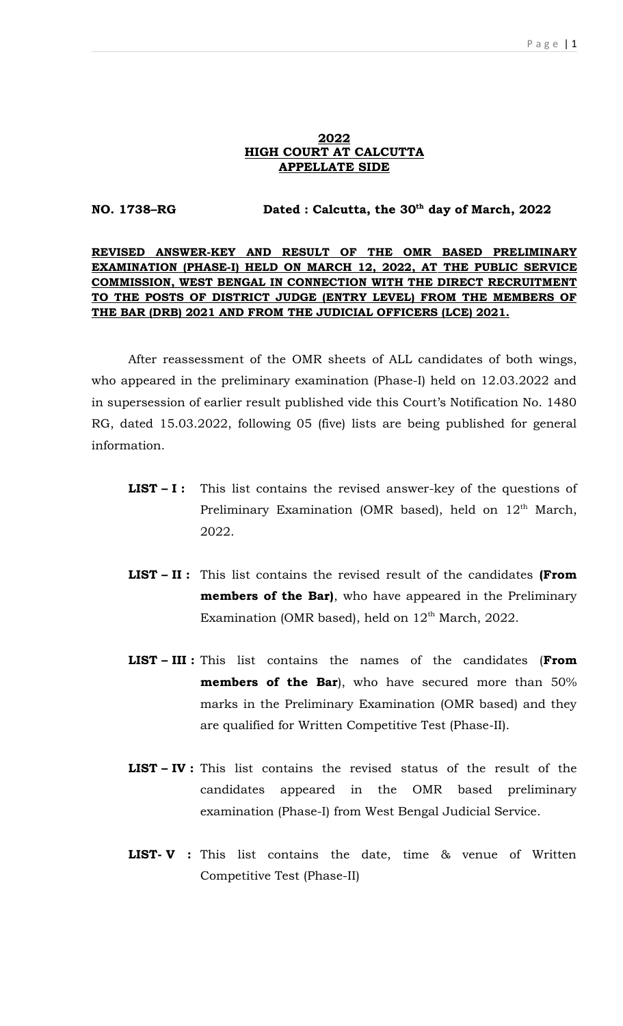#### 2022 HIGH COURT AT CALCUTTA APPELLATE SIDE

NO. 1738–RG Dated : Calcutta, the 30<sup>th</sup> day of March, 2022

### REVISED ANSWER-KEY AND RESULT OF THE OMR BASED PRELIMINARY EXAMINATION (PHASE-I) HELD ON MARCH 12, 2022, AT THE PUBLIC SERVICE COMMISSION, WEST BENGAL IN CONNECTION WITH THE DIRECT RECRUITMENT TO THE POSTS OF DISTRICT JUDGE (ENTRY LEVEL) FROM THE MEMBERS OF THE BAR (DRB) 2021 AND FROM THE JUDICIAL OFFICERS (LCE) 2021.

After reassessment of the OMR sheets of ALL candidates of both wings, who appeared in the preliminary examination (Phase-I) held on 12.03.2022 and in supersession of earlier result published vide this Court's Notification No. 1480 RG, dated 15.03.2022, following 05 (five) lists are being published for general information.

- **LIST I:** This list contains the revised answer-key of the questions of Preliminary Examination (OMR based), held on  $12<sup>th</sup>$  March, 2022.
- LIST II : This list contains the revised result of the candidates (From members of the Bar), who have appeared in the Preliminary Examination (OMR based), held on  $12<sup>th</sup>$  March, 2022.
- LIST III : This list contains the names of the candidates (From **members of the Bar**), who have secured more than 50% marks in the Preliminary Examination (OMR based) and they are qualified for Written Competitive Test (Phase-II).
- LIST IV : This list contains the revised status of the result of the candidates appeared in the OMR based preliminary examination (Phase-I) from West Bengal Judicial Service.
- LIST- V: This list contains the date, time & venue of Written Competitive Test (Phase-II)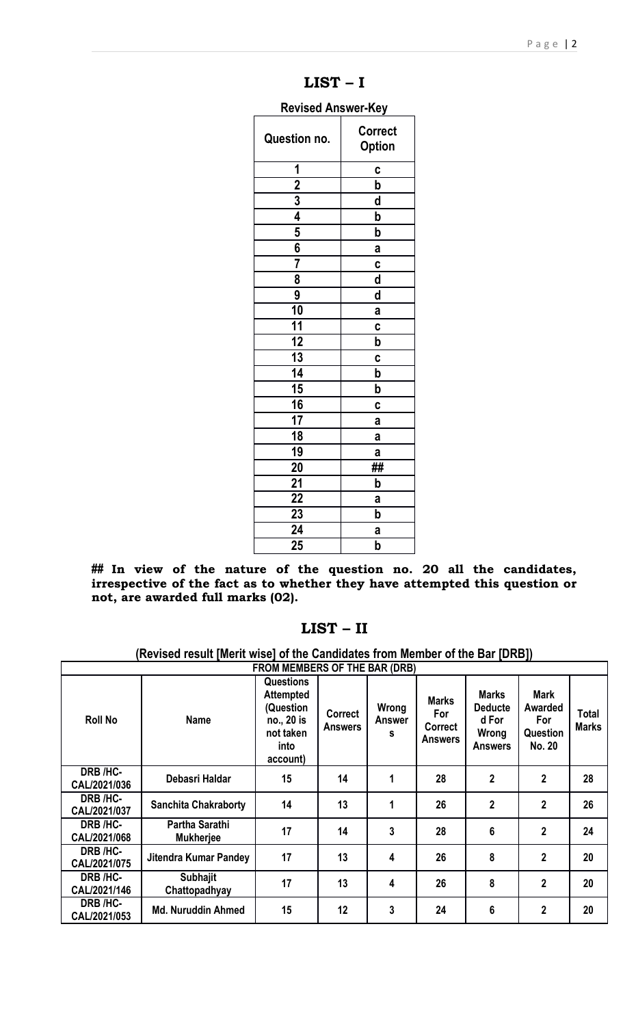| <b>Revised Answer-Key</b> |                                 |  |  |  |  |  |
|---------------------------|---------------------------------|--|--|--|--|--|
| Question no.              | <b>Correct</b><br><b>Option</b> |  |  |  |  |  |
| 1                         | C                               |  |  |  |  |  |
| $\overline{2}$            | b                               |  |  |  |  |  |
|                           | d                               |  |  |  |  |  |
| $\frac{3}{4}$             | b                               |  |  |  |  |  |
| $\frac{5}{6}$             | b                               |  |  |  |  |  |
|                           | a                               |  |  |  |  |  |
| $\overline{\overline{7}}$ | C                               |  |  |  |  |  |
| 8                         | d                               |  |  |  |  |  |
| 9                         | d                               |  |  |  |  |  |
| 10                        | a                               |  |  |  |  |  |
| 11                        | C                               |  |  |  |  |  |
| 12                        | b                               |  |  |  |  |  |
| 13                        | C                               |  |  |  |  |  |
| 14                        | b                               |  |  |  |  |  |
| 15                        | b                               |  |  |  |  |  |
| 16                        | C                               |  |  |  |  |  |
| 17                        | a                               |  |  |  |  |  |
| 18                        | a                               |  |  |  |  |  |
| 19                        | a                               |  |  |  |  |  |
| 20                        | ##                              |  |  |  |  |  |
| 21                        | b                               |  |  |  |  |  |
| 22                        | a                               |  |  |  |  |  |
| 23                        | þ                               |  |  |  |  |  |
| 24                        | a                               |  |  |  |  |  |
| 25                        | þ                               |  |  |  |  |  |

LIST – I

## In view of the nature of the question no. 20 all the candidates, irrespective of the fact as to whether they have attempted this question or not, are awarded full marks (02).

# LIST – II

(Revised result [Merit wise] of the Candidates from Member of the Bar [DRB])

| <b>FROM MEMBERS OF THE BAR (DRB)</b> |                                    |                                                                                                  |                                  |                      |                                                  |                                                                    |                                                                          |                       |
|--------------------------------------|------------------------------------|--------------------------------------------------------------------------------------------------|----------------------------------|----------------------|--------------------------------------------------|--------------------------------------------------------------------|--------------------------------------------------------------------------|-----------------------|
| <b>Roll No</b>                       | <b>Name</b>                        | <b>Questions</b><br><b>Attempted</b><br>(Question<br>no., 20 is<br>not taken<br>into<br>account) | <b>Correct</b><br><b>Answers</b> | Wrong<br>Answer<br>s | <b>Marks</b><br>For<br>Correct<br><b>Answers</b> | <b>Marks</b><br><b>Deducte</b><br>d For<br>Wrong<br><b>Answers</b> | <b>Mark</b><br><b>Awarded</b><br><b>For</b><br>Question<br><b>No. 20</b> | Total<br><b>Marks</b> |
| DRB /HC-<br>CAL/2021/036             | Debasri Haldar                     | 15                                                                                               | 14                               | 1                    | 28                                               | $\overline{2}$                                                     | $\mathbf{2}$                                                             | 28                    |
| DRB /HC-<br>CAL/2021/037             | <b>Sanchita Chakraborty</b>        | 14                                                                                               | 13                               | 1                    | 26                                               | $\overline{2}$                                                     | $\mathbf{2}$                                                             | 26                    |
| DRB /HC-<br>CAL/2021/068             | Partha Sarathi<br><b>Mukherjee</b> | 17                                                                                               | 14                               | 3                    | 28                                               | 6                                                                  | $\mathbf{2}$                                                             | 24                    |
| DRB /HC-<br>CAL/2021/075             | <b>Jitendra Kumar Pandey</b>       | 17                                                                                               | 13                               | 4                    | 26                                               | 8                                                                  | $\mathbf{2}$                                                             | 20                    |
| DRB /HC-<br>CAL/2021/146             | <b>Subhajit</b><br>Chattopadhyay   | 17                                                                                               | 13                               | 4                    | 26                                               | 8                                                                  | $\mathbf{2}$                                                             | 20                    |
| DRB /HC-<br>CAL/2021/053             | <b>Md. Nuruddin Ahmed</b>          | 15                                                                                               | 12                               | 3                    | 24                                               | 6                                                                  | $\mathbf{2}$                                                             | 20                    |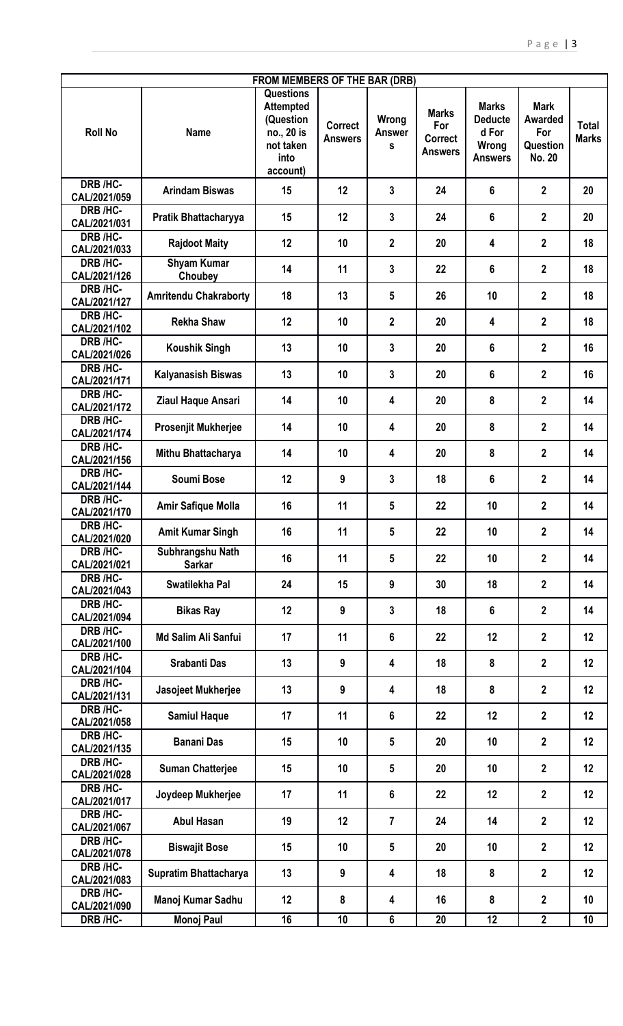| FROM MEMBERS OF THE BAR (DRB) |                                   |                                                                                                  |                                  |                             |                                                         |                                                                    |                                                            |                              |
|-------------------------------|-----------------------------------|--------------------------------------------------------------------------------------------------|----------------------------------|-----------------------------|---------------------------------------------------------|--------------------------------------------------------------------|------------------------------------------------------------|------------------------------|
| <b>Roll No</b>                | <b>Name</b>                       | <b>Questions</b><br><b>Attempted</b><br>(Question<br>no., 20 is<br>not taken<br>into<br>account) | <b>Correct</b><br><b>Answers</b> | Wrong<br><b>Answer</b><br>S | <b>Marks</b><br>For<br><b>Correct</b><br><b>Answers</b> | <b>Marks</b><br><b>Deducte</b><br>d For<br>Wrong<br><b>Answers</b> | <b>Mark</b><br>Awarded<br>For<br>Question<br><b>No. 20</b> | <b>Total</b><br><b>Marks</b> |
| DRB /HC-<br>CAL/2021/059      | <b>Arindam Biswas</b>             | 15                                                                                               | 12                               | 3                           | 24                                                      | 6                                                                  | $\mathbf{2}$                                               | 20                           |
| DRB /HC-<br>CAL/2021/031      | Pratik Bhattacharyya              | 15                                                                                               | 12                               | 3                           | 24                                                      | 6                                                                  | $\overline{2}$                                             | 20                           |
| DRB /HC-<br>CAL/2021/033      | <b>Rajdoot Maity</b>              | 12                                                                                               | 10                               | $\overline{2}$              | 20                                                      | 4                                                                  | $\mathbf{2}$                                               | 18                           |
| DRB /HC-<br>CAL/2021/126      | <b>Shyam Kumar</b><br>Choubey     | 14                                                                                               | 11                               | 3                           | 22                                                      | 6                                                                  | $\overline{2}$                                             | 18                           |
| DRB /HC-<br>CAL/2021/127      | <b>Amritendu Chakraborty</b>      | 18                                                                                               | 13                               | 5                           | 26                                                      | 10                                                                 | $\mathbf{2}$                                               | 18                           |
| DRB /HC-<br>CAL/2021/102      | <b>Rekha Shaw</b>                 | 12                                                                                               | 10                               | $\mathbf{2}$                | 20                                                      | 4                                                                  | $\mathbf{2}$                                               | 18                           |
| DRB /HC-<br>CAL/2021/026      | <b>Koushik Singh</b>              | 13                                                                                               | 10                               | 3                           | 20                                                      | 6                                                                  | $\overline{2}$                                             | 16                           |
| DRB /HC-<br>CAL/2021/171      | <b>Kalyanasish Biswas</b>         | 13                                                                                               | 10                               | $\mathbf{3}$                | 20                                                      | 6                                                                  | $\overline{2}$                                             | 16                           |
| DRB /HC-<br>CAL/2021/172      | Ziaul Haque Ansari                | 14                                                                                               | 10                               | 4                           | 20                                                      | 8                                                                  | $\mathbf{2}$                                               | 14                           |
| DRB /HC-<br>CAL/2021/174      | <b>Prosenjit Mukherjee</b>        | 14                                                                                               | 10                               | 4                           | 20                                                      | 8                                                                  | $\mathbf{2}$                                               | 14                           |
| DRB /HC-<br>CAL/2021/156      | Mithu Bhattacharya                | 14                                                                                               | 10                               | 4                           | 20                                                      | 8                                                                  | $\mathbf{2}$                                               | 14                           |
| DRB /HC-<br>CAL/2021/144      | <b>Soumi Bose</b>                 | 12                                                                                               | 9                                | 3                           | 18                                                      | 6                                                                  | $\mathbf{2}$                                               | 14                           |
| DRB /HC-<br>CAL/2021/170      | Amir Safique Molla                | 16                                                                                               | 11                               | 5                           | 22                                                      | 10                                                                 | $\mathbf{2}$                                               | 14                           |
| DRB /HC-<br>CAL/2021/020      | <b>Amit Kumar Singh</b>           | 16                                                                                               | 11                               | 5                           | 22                                                      | 10                                                                 | $\mathbf 2$                                                | 14                           |
| DRB /HC-<br>CAL/2021/021      | Subhrangshu Nath<br><b>Sarkar</b> | 16                                                                                               | 11                               | 5                           | 22                                                      | 10                                                                 | $\mathbf{2}$                                               | 14                           |
| DRB /HC-<br>CAL/2021/043      | Swatilekha Pal                    | 24                                                                                               | 15                               | 9                           | 30                                                      | 18                                                                 | $\overline{2}$                                             | 14                           |
| DRB /HC-<br>CAL/2021/094      | <b>Bikas Ray</b>                  | 12                                                                                               | 9                                | $\overline{3}$              | 18                                                      | $6\phantom{a}$                                                     | $\overline{2}$                                             | 14                           |
| DRB /HC-<br>CAL/2021/100      | Md Salim Ali Sanfui               | 17                                                                                               | 11                               | 6                           | 22                                                      | 12                                                                 | $\overline{2}$                                             | 12                           |
| DRB /HC-<br>CAL/2021/104      | <b>Srabanti Das</b>               | 13                                                                                               | 9                                | 4                           | 18                                                      | 8                                                                  | $\mathbf{2}$                                               | 12                           |
| DRB /HC-<br>CAL/2021/131      | Jasojeet Mukherjee                | 13                                                                                               | 9                                | 4                           | 18                                                      | 8                                                                  | $\mathbf{2}$                                               | 12                           |
| DRB /HC-<br>CAL/2021/058      | <b>Samiul Haque</b>               | 17                                                                                               | 11                               | 6                           | 22                                                      | 12                                                                 | $\mathbf{2}$                                               | 12                           |
| DRB /HC-<br>CAL/2021/135      | <b>Banani Das</b>                 | 15                                                                                               | 10                               | 5                           | 20                                                      | 10                                                                 | $\overline{2}$                                             | 12                           |
| DRB /HC-<br>CAL/2021/028      | <b>Suman Chatterjee</b>           | 15                                                                                               | 10                               | 5                           | 20                                                      | 10                                                                 | $\overline{2}$                                             | 12                           |
| DRB /HC-<br>CAL/2021/017      | Joydeep Mukherjee                 | 17                                                                                               | 11                               | 6                           | 22                                                      | 12                                                                 | $\overline{2}$                                             | 12                           |
| DRB /HC-<br>CAL/2021/067      | <b>Abul Hasan</b>                 | 19                                                                                               | 12                               | 7                           | 24                                                      | 14                                                                 | $\overline{2}$                                             | 12                           |
| DRB /HC-<br>CAL/2021/078      | <b>Biswajit Bose</b>              | 15                                                                                               | 10                               | 5                           | 20                                                      | 10                                                                 | $\mathbf{2}$                                               | 12                           |
| DRB /HC-<br>CAL/2021/083      | Supratim Bhattacharya             | 13                                                                                               | 9                                | $\overline{\mathbf{4}}$     | 18                                                      | 8                                                                  | $\mathbf{2}$                                               | 12                           |
| DRB /HC-<br>CAL/2021/090      | Manoj Kumar Sadhu                 | 12                                                                                               | 8                                | $\overline{\mathbf{4}}$     | 16                                                      | 8                                                                  | $\overline{2}$                                             | 10                           |
| DRB /HC-                      | <b>Monoj Paul</b>                 | 16                                                                                               | 10                               | 6                           | 20                                                      | 12                                                                 | $\mathbf{2}$                                               | 10                           |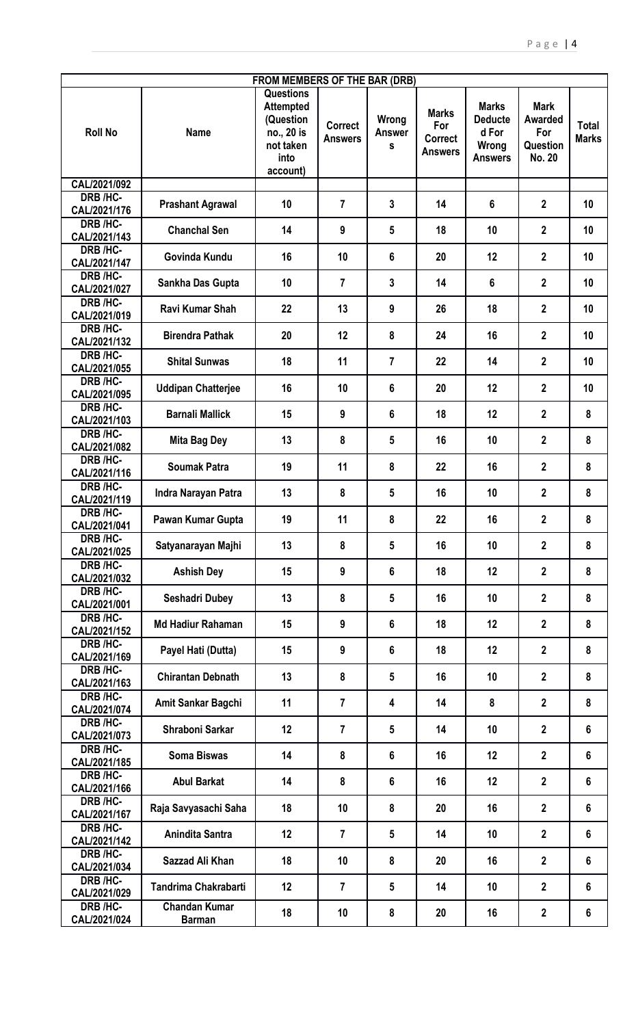| <b>FROM MEMBERS OF THE BAR (DRB)</b> |                                       |                                                                                                  |                                  |                             |                                                         |                                                                    |                                                                   |                              |  |
|--------------------------------------|---------------------------------------|--------------------------------------------------------------------------------------------------|----------------------------------|-----------------------------|---------------------------------------------------------|--------------------------------------------------------------------|-------------------------------------------------------------------|------------------------------|--|
| <b>Roll No</b>                       | <b>Name</b>                           | <b>Questions</b><br><b>Attempted</b><br>(Question<br>no., 20 is<br>not taken<br>into<br>account) | <b>Correct</b><br><b>Answers</b> | Wrong<br><b>Answer</b><br>S | <b>Marks</b><br>For<br><b>Correct</b><br><b>Answers</b> | <b>Marks</b><br><b>Deducte</b><br>d For<br>Wrong<br><b>Answers</b> | <b>Mark</b><br><b>Awarded</b><br>For<br>Question<br><b>No. 20</b> | <b>Total</b><br><b>Marks</b> |  |
| CAL/2021/092                         |                                       |                                                                                                  |                                  |                             |                                                         |                                                                    |                                                                   |                              |  |
| DRB /HC-<br>CAL/2021/176             | <b>Prashant Agrawal</b>               | 10                                                                                               | $\overline{7}$                   | 3                           | 14                                                      | 6                                                                  | $\overline{2}$                                                    | 10                           |  |
| DRB /HC-<br>CAL/2021/143             | <b>Chanchal Sen</b>                   | 14                                                                                               | 9                                | 5                           | 18                                                      | 10                                                                 | $\mathbf{2}$                                                      | 10                           |  |
| DRB /HC-<br>CAL/2021/147             | Govinda Kundu                         | 16                                                                                               | 10                               | 6                           | 20                                                      | 12                                                                 | $\overline{2}$                                                    | 10                           |  |
| DRB /HC-<br>CAL/2021/027             | Sankha Das Gupta                      | 10                                                                                               | $\overline{7}$                   | 3                           | 14                                                      | $6\phantom{1}$                                                     | $\overline{2}$                                                    | 10                           |  |
| DRB /HC-<br>CAL/2021/019             | Ravi Kumar Shah                       | 22                                                                                               | 13                               | 9                           | 26                                                      | 18                                                                 | $\overline{2}$                                                    | 10                           |  |
| DRB /HC-<br>CAL/2021/132             | <b>Birendra Pathak</b>                | 20                                                                                               | 12                               | 8                           | 24                                                      | 16                                                                 | $\overline{2}$                                                    | 10                           |  |
| <b>DRB /HC-</b><br>CAL/2021/055      | <b>Shital Sunwas</b>                  | 18                                                                                               | 11                               | $\overline{7}$              | 22                                                      | 14                                                                 | $\overline{2}$                                                    | 10                           |  |
| DRB /HC-<br>CAL/2021/095             | <b>Uddipan Chatterjee</b>             | 16                                                                                               | 10                               | 6                           | 20                                                      | 12                                                                 | $\overline{2}$                                                    | 10                           |  |
| DRB /HC-<br>CAL/2021/103             | <b>Barnali Mallick</b>                | 15                                                                                               | 9                                | 6                           | 18                                                      | 12                                                                 | $\overline{2}$                                                    | 8                            |  |
| DRB /HC-<br>CAL/2021/082             | <b>Mita Bag Dey</b>                   | 13                                                                                               | 8                                | 5                           | 16                                                      | 10                                                                 | $\overline{2}$                                                    | 8                            |  |
| DRB /HC-<br>CAL/2021/116             | <b>Soumak Patra</b>                   | 19                                                                                               | 11                               | 8                           | 22                                                      | 16                                                                 | $\overline{2}$                                                    | 8                            |  |
| DRB /HC-<br>CAL/2021/119             | Indra Narayan Patra                   | 13                                                                                               | 8                                | 5                           | 16                                                      | 10                                                                 | $\mathbf{2}$                                                      | 8                            |  |
| DRB /HC-<br>CAL/2021/041             | Pawan Kumar Gupta                     | 19                                                                                               | 11                               | 8                           | 22                                                      | 16                                                                 | $\overline{\mathbf{2}}$                                           | 8                            |  |
| DRB /HC-<br>CAL/2021/025             | Satyanarayan Majhi                    | 13                                                                                               | 8                                | 5                           | 16                                                      | 10                                                                 | $\overline{2}$                                                    | 8                            |  |
| DRB /HC-<br>CAL/2021/032             | <b>Ashish Dey</b>                     | 15                                                                                               | 9                                | 6                           | 18                                                      | 12                                                                 | $\overline{2}$                                                    | 8                            |  |
| DRB /HC-<br>CAL/2021/001             | <b>Seshadri Dubey</b>                 | 13                                                                                               | 8                                | 5                           | 16                                                      | 10                                                                 | $\overline{2}$                                                    | 8                            |  |
| DRB /HC-<br>CAL/2021/152             | <b>Md Hadiur Rahaman</b>              | 15                                                                                               | 9                                | 6                           | 18                                                      | 12                                                                 | $\overline{2}$                                                    | 8                            |  |
| DRB /HC-<br>CAL/2021/169             | Payel Hati (Dutta)                    | 15                                                                                               | 9                                | 6                           | 18                                                      | 12                                                                 | $\overline{2}$                                                    | 8                            |  |
| DRB /HC-<br>CAL/2021/163             | <b>Chirantan Debnath</b>              | 13                                                                                               | 8                                | 5                           | 16                                                      | 10                                                                 | $\overline{2}$                                                    | 8                            |  |
| DRB /HC-<br>CAL/2021/074             | Amit Sankar Bagchi                    | 11                                                                                               | $\overline{7}$                   | 4                           | 14                                                      | 8                                                                  | $\overline{2}$                                                    | 8                            |  |
| DRB /HC-<br>CAL/2021/073             | Shraboni Sarkar                       | 12                                                                                               | $\overline{7}$                   | 5                           | 14                                                      | 10                                                                 | $\overline{2}$                                                    | $6\phantom{1}$               |  |
| DRB /HC-<br>CAL/2021/185             | <b>Soma Biswas</b>                    | 14                                                                                               | 8                                | 6                           | 16                                                      | 12                                                                 | $\overline{2}$                                                    | 6                            |  |
| DRB /HC-<br>CAL/2021/166             | <b>Abul Barkat</b>                    | 14                                                                                               | 8                                | 6                           | 16                                                      | 12                                                                 | $\mathbf{2}$                                                      | 6                            |  |
| DRB /HC-<br>CAL/2021/167             | Raja Savyasachi Saha                  | 18                                                                                               | 10                               | 8                           | 20                                                      | 16                                                                 | $\overline{2}$                                                    | 6                            |  |
| DRB /HC-<br>CAL/2021/142             | Anindita Santra                       | 12                                                                                               | $\overline{7}$                   | 5                           | 14                                                      | 10                                                                 | $\mathbf 2$                                                       | 6                            |  |
| DRB /HC-<br>CAL/2021/034             | Sazzad Ali Khan                       | 18                                                                                               | 10                               | 8                           | 20                                                      | 16                                                                 | $\overline{\mathbf{2}}$                                           | 6                            |  |
| DRB /HC-<br>CAL/2021/029             | <b>Tandrima Chakrabarti</b>           | 12                                                                                               | $\overline{7}$                   | 5                           | 14                                                      | 10                                                                 | $\mathbf{2}$                                                      | 6                            |  |
| DRB /HC-<br>CAL/2021/024             | <b>Chandan Kumar</b><br><b>Barman</b> | 18                                                                                               | 10                               | 8                           | 20                                                      | 16                                                                 | $\mathbf{2}$                                                      | $6\phantom{1}$               |  |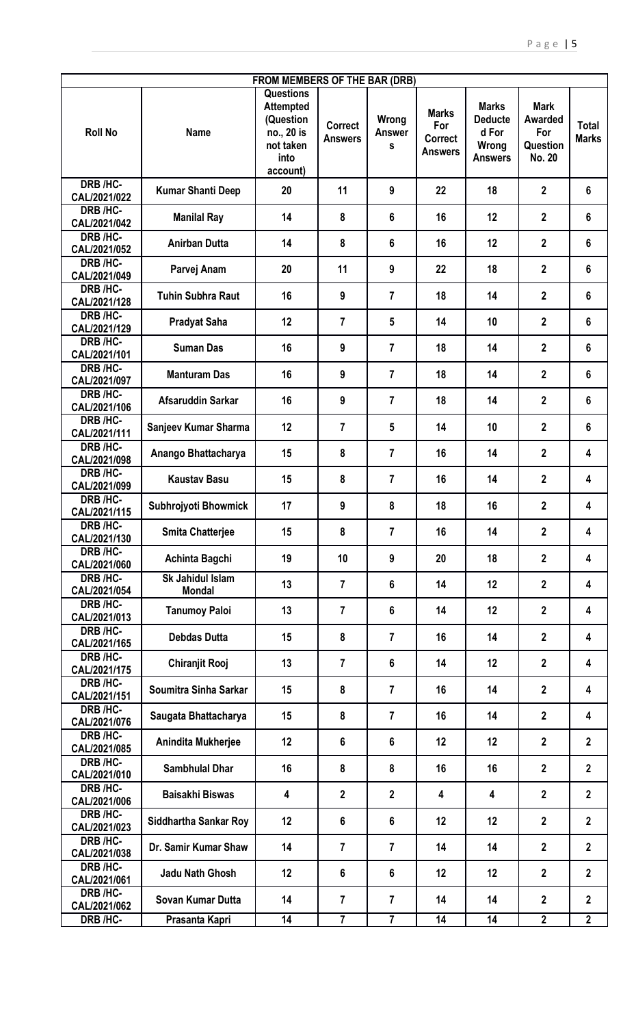| FROM MEMBERS OF THE BAR (DRB) |                                          |                                                                                                  |                                  |                             |                                                         |                                                                    |                                                                   |                              |  |
|-------------------------------|------------------------------------------|--------------------------------------------------------------------------------------------------|----------------------------------|-----------------------------|---------------------------------------------------------|--------------------------------------------------------------------|-------------------------------------------------------------------|------------------------------|--|
| <b>Roll No</b>                | <b>Name</b>                              | <b>Questions</b><br><b>Attempted</b><br>(Question<br>no., 20 is<br>not taken<br>into<br>account) | <b>Correct</b><br><b>Answers</b> | Wrong<br><b>Answer</b><br>S | <b>Marks</b><br>For<br><b>Correct</b><br><b>Answers</b> | <b>Marks</b><br><b>Deducte</b><br>d For<br>Wrong<br><b>Answers</b> | <b>Mark</b><br><b>Awarded</b><br>For<br>Question<br><b>No. 20</b> | <b>Total</b><br><b>Marks</b> |  |
| <b>DRB /HC-</b>               | <b>Kumar Shanti Deep</b>                 | 20                                                                                               | 11                               | 9                           | 22                                                      | 18                                                                 | $\mathbf{2}$                                                      | $6\phantom{1}$               |  |
| CAL/2021/022<br>DRB /HC-      |                                          |                                                                                                  |                                  |                             |                                                         |                                                                    |                                                                   |                              |  |
| CAL/2021/042                  | <b>Manilal Ray</b>                       | 14                                                                                               | 8                                | 6                           | 16                                                      | 12                                                                 | $\mathbf{2}$                                                      | $6\phantom{1}$               |  |
| DRB /HC-<br>CAL/2021/052      | <b>Anirban Dutta</b>                     | 14                                                                                               | 8                                | 6                           | 16                                                      | 12                                                                 | $\overline{2}$                                                    | 6                            |  |
| DRB /HC-<br>CAL/2021/049      | Parvej Anam                              | 20                                                                                               | 11                               | 9                           | 22                                                      | 18                                                                 | $\overline{2}$                                                    | $6\phantom{1}$               |  |
| DRB /HC-<br>CAL/2021/128      | <b>Tuhin Subhra Raut</b>                 | 16                                                                                               | 9                                | $\overline{7}$              | 18                                                      | 14                                                                 | $\mathbf{2}$                                                      | $6\phantom{1}$               |  |
| DRB /HC-<br>CAL/2021/129      | <b>Pradyat Saha</b>                      | 12                                                                                               | $\overline{7}$                   | 5                           | 14                                                      | 10                                                                 | $\mathbf{2}$                                                      | $6\phantom{1}$               |  |
| DRB /HC-<br>CAL/2021/101      | <b>Suman Das</b>                         | 16                                                                                               | 9                                | $\overline{7}$              | 18                                                      | 14                                                                 | $\overline{2}$                                                    | $6\phantom{a}$               |  |
| DRB /HC-<br>CAL/2021/097      | <b>Manturam Das</b>                      | 16                                                                                               | 9                                | $\overline{7}$              | 18                                                      | 14                                                                 | $\mathbf{2}$                                                      | $6\phantom{1}$               |  |
| DRB /HC-<br>CAL/2021/106      | Afsaruddin Sarkar                        | 16                                                                                               | 9                                | 7                           | 18                                                      | 14                                                                 | $\mathbf{2}$                                                      | $6\phantom{1}$               |  |
| DRB /HC-<br>CAL/2021/111      | Sanjeev Kumar Sharma                     | 12                                                                                               | $\overline{7}$                   | 5                           | 14                                                      | 10                                                                 | $\overline{2}$                                                    | $6\phantom{1}$               |  |
| DRB /HC-<br>CAL/2021/098      | Anango Bhattacharya                      | 15                                                                                               | 8                                | $\overline{7}$              | 16                                                      | 14                                                                 | $\mathbf{2}$                                                      | 4                            |  |
| DRB /HC-<br>CAL/2021/099      | <b>Kaustav Basu</b>                      | 15                                                                                               | 8                                | 7                           | 16                                                      | 14                                                                 | $\mathbf{2}$                                                      | 4                            |  |
| DRB /HC-<br>CAL/2021/115      | Subhrojyoti Bhowmick                     | 17                                                                                               | 9                                | 8                           | 18                                                      | 16                                                                 | $\overline{2}$                                                    | 4                            |  |
| DRB /HC-<br>CAL/2021/130      | <b>Smita Chatterjee</b>                  | 15                                                                                               | 8                                | $\overline{7}$              | 16                                                      | 14                                                                 | $\mathbf{2}$                                                      | 4                            |  |
| DRB /HC-<br>CAL/2021/060      | Achinta Bagchi                           | 19                                                                                               | 10                               | 9                           | 20                                                      | 18                                                                 | $\overline{2}$                                                    | 4                            |  |
| DRB /HC-<br>CAL/2021/054      | <b>Sk Jahidul Islam</b><br><b>Mondal</b> | 13                                                                                               | $\overline{7}$                   | $6\phantom{a}$              | 14                                                      | 12                                                                 | $\mathbf{2}$                                                      | 4                            |  |
| DRB /HC-<br>CAL/2021/013      | <b>Tanumoy Paloi</b>                     | 13                                                                                               | $\overline{7}$                   | 6                           | 14                                                      | 12                                                                 | $\overline{2}$                                                    | $\overline{\mathbf{4}}$      |  |
| DRB /HC-<br>CAL/2021/165      | <b>Debdas Dutta</b>                      | 15                                                                                               | 8                                | $\overline{7}$              | 16                                                      | 14                                                                 | $\overline{2}$                                                    | 4                            |  |
| DRB /HC-<br>CAL/2021/175      | <b>Chiranjit Rooj</b>                    | 13                                                                                               | $\overline{7}$                   | $6\phantom{a}$              | 14                                                      | 12                                                                 | $\mathbf{2}$                                                      | 4                            |  |
| DRB /HC-<br>CAL/2021/151      | Soumitra Sinha Sarkar                    | 15                                                                                               | 8                                | $\overline{7}$              | 16                                                      | 14                                                                 | $\overline{2}$                                                    | 4                            |  |
| DRB /HC-<br>CAL/2021/076      | Saugata Bhattacharya                     | 15                                                                                               | 8                                | $\overline{7}$              | 16                                                      | 14                                                                 | $\mathbf{2}$                                                      | 4                            |  |
| DRB /HC-<br>CAL/2021/085      | Anindita Mukherjee                       | 12                                                                                               | $6\phantom{a}$                   | $6\phantom{1}$              | 12                                                      | 12                                                                 | $\overline{2}$                                                    | $\boldsymbol{2}$             |  |
| DRB /HC-<br>CAL/2021/010      | <b>Sambhulal Dhar</b>                    | 16                                                                                               | 8                                | 8                           | 16                                                      | 16                                                                 | $\overline{2}$                                                    | $\mathbf{2}$                 |  |
| DRB /HC-<br>CAL/2021/006      | <b>Baisakhi Biswas</b>                   | 4                                                                                                | $\overline{2}$                   | $\overline{2}$              | 4                                                       | 4                                                                  | $\overline{2}$                                                    | $\overline{2}$               |  |
| DRB /HC-<br>CAL/2021/023      | <b>Siddhartha Sankar Roy</b>             | 12                                                                                               | $6\phantom{a}$                   | $6\phantom{a}$              | 12                                                      | 12                                                                 | $\mathbf{2}$                                                      | $\mathbf{2}$                 |  |
| DRB /HC-<br>CAL/2021/038      | Dr. Samir Kumar Shaw                     | 14                                                                                               | $\overline{7}$                   | $\overline{7}$              | 14                                                      | 14                                                                 | $\mathbf{2}$                                                      | $\boldsymbol{2}$             |  |
| DRB /HC-<br>CAL/2021/061      | <b>Jadu Nath Ghosh</b>                   | 12                                                                                               | $6\phantom{a}$                   | $6\phantom{a}$              | 12                                                      | 12                                                                 | $\overline{2}$                                                    | $\overline{2}$               |  |
| DRB /HC-<br>CAL/2021/062      | Sovan Kumar Dutta                        | 14                                                                                               | $\overline{7}$                   | $\overline{7}$              | 14                                                      | 14                                                                 | $\mathbf{2}$                                                      | $\mathbf{2}$                 |  |
| DRB /HC-                      | Prasanta Kapri                           | 14                                                                                               | $\overline{7}$                   | 7                           | 14                                                      | 14                                                                 | $\overline{2}$                                                    | $\mathbf{2}$                 |  |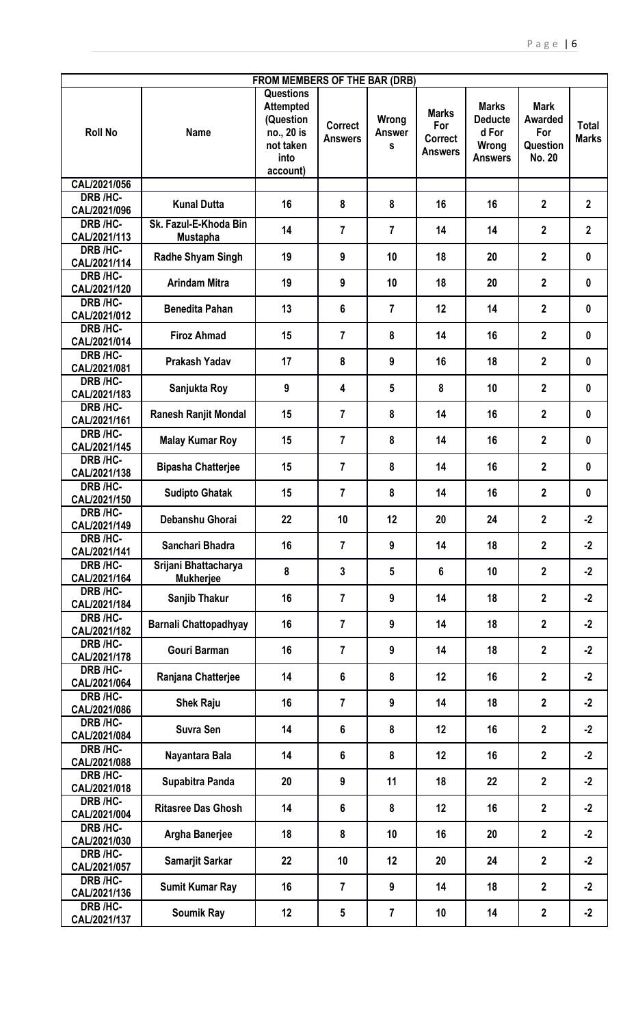| FROM MEMBERS OF THE BAR (DRB) |                                          |                                                                                                  |                                  |                             |                                                         |                                                                    |                                                                   |                              |  |
|-------------------------------|------------------------------------------|--------------------------------------------------------------------------------------------------|----------------------------------|-----------------------------|---------------------------------------------------------|--------------------------------------------------------------------|-------------------------------------------------------------------|------------------------------|--|
| <b>Roll No</b>                | <b>Name</b>                              | <b>Questions</b><br><b>Attempted</b><br>(Question<br>no., 20 is<br>not taken<br>into<br>account) | <b>Correct</b><br><b>Answers</b> | Wrong<br><b>Answer</b><br>S | <b>Marks</b><br>For<br><b>Correct</b><br><b>Answers</b> | <b>Marks</b><br><b>Deducte</b><br>d For<br>Wrong<br><b>Answers</b> | <b>Mark</b><br><b>Awarded</b><br>For<br>Question<br><b>No. 20</b> | <b>Total</b><br><b>Marks</b> |  |
| CAL/2021/056                  |                                          |                                                                                                  |                                  |                             |                                                         |                                                                    |                                                                   |                              |  |
| DRB /HC-<br>CAL/2021/096      | <b>Kunal Dutta</b>                       | 16                                                                                               | 8                                | 8                           | 16                                                      | 16                                                                 | $\mathbf{2}$                                                      | $\boldsymbol{2}$             |  |
| DRB /HC-<br>CAL/2021/113      | Sk. Fazul-E-Khoda Bin<br><b>Mustapha</b> | 14                                                                                               | $\overline{7}$                   | $\overline{7}$              | 14                                                      | 14                                                                 | $\mathbf{2}$                                                      | $\mathbf{2}$                 |  |
| DRB /HC-<br>CAL/2021/114      | Radhe Shyam Singh                        | 19                                                                                               | 9                                | 10                          | 18                                                      | 20                                                                 | $\mathbf{2}$                                                      | $\mathbf 0$                  |  |
| DRB /HC-<br>CAL/2021/120      | <b>Arindam Mitra</b>                     | 19                                                                                               | 9                                | 10                          | 18                                                      | 20                                                                 | $\overline{2}$                                                    | $\mathbf 0$                  |  |
| DRB /HC-<br>CAL/2021/012      | <b>Benedita Pahan</b>                    | 13                                                                                               | 6                                | $\overline{7}$              | 12                                                      | 14                                                                 | $\overline{2}$                                                    | $\mathbf 0$                  |  |
| DRB /HC-<br>CAL/2021/014      | <b>Firoz Ahmad</b>                       | 15                                                                                               | $\overline{7}$                   | 8                           | 14                                                      | 16                                                                 | $\overline{2}$                                                    | $\mathbf 0$                  |  |
| DRB /HC-<br>CAL/2021/081      | Prakash Yadav                            | 17                                                                                               | 8                                | 9                           | 16                                                      | 18                                                                 | $\overline{2}$                                                    | $\mathbf 0$                  |  |
| DRB /HC-<br>CAL/2021/183      | Sanjukta Roy                             | 9                                                                                                | 4                                | 5                           | 8                                                       | 10                                                                 | $\mathbf 2$                                                       | $\mathbf 0$                  |  |
| DRB /HC-<br>CAL/2021/161      | Ranesh Ranjit Mondal                     | 15                                                                                               | $\overline{7}$                   | 8                           | 14                                                      | 16                                                                 | $\overline{2}$                                                    | $\mathbf 0$                  |  |
| DRB /HC-<br>CAL/2021/145      | <b>Malay Kumar Roy</b>                   | 15                                                                                               | $\overline{7}$                   | 8                           | 14                                                      | 16                                                                 | $\overline{2}$                                                    | $\mathbf 0$                  |  |
| DRB /HC-<br>CAL/2021/138      | <b>Bipasha Chatterjee</b>                | 15                                                                                               | $\overline{7}$                   | 8                           | 14                                                      | 16                                                                 | $\mathbf 2$                                                       | $\mathbf 0$                  |  |
| DRB /HC-<br>CAL/2021/150      | <b>Sudipto Ghatak</b>                    | 15                                                                                               | $\overline{7}$                   | 8                           | 14                                                      | 16                                                                 | $\mathbf 2$                                                       | $\mathbf 0$                  |  |
| DRB /HC-<br>CAL/2021/149      | Debanshu Ghorai                          | 22                                                                                               | 10                               | 12                          | 20                                                      | 24                                                                 | $\mathbf 2$                                                       | $-2$                         |  |
| DRB /HC-<br>CAL/2021/141      | Sanchari Bhadra                          | 16                                                                                               | $\overline{7}$                   | 9                           | 14                                                      | 18                                                                 | $\overline{2}$                                                    | $-2$                         |  |
| DRB /HC-<br>CAL/2021/164      | Srijani Bhattacharya<br><b>Mukherjee</b> | 8                                                                                                | $\mathbf{3}$                     | 5                           | 6                                                       | 10                                                                 | $\mathbf 2$                                                       | $-2$                         |  |
| DRB /HC-<br>CAL/2021/184      | Sanjib Thakur                            | 16                                                                                               | $\overline{7}$                   | 9                           | 14                                                      | 18                                                                 | $\overline{2}$                                                    | $-2$                         |  |
| DRB /HC-<br>CAL/2021/182      | <b>Barnali Chattopadhyay</b>             | 16                                                                                               | $\overline{7}$                   | 9                           | 14                                                      | 18                                                                 | $\mathbf{2}$                                                      | $-2$                         |  |
| DRB /HC-<br>CAL/2021/178      | <b>Gouri Barman</b>                      | 16                                                                                               | $\overline{7}$                   | 9                           | 14                                                      | 18                                                                 | $\mathbf{2}$                                                      | $-2$                         |  |
| DRB /HC-<br>CAL/2021/064      | Ranjana Chatterjee                       | 14                                                                                               | 6                                | 8                           | 12                                                      | 16                                                                 | $\overline{2}$                                                    | $-2$                         |  |
| DRB /HC-<br>CAL/2021/086      | <b>Shek Raju</b>                         | 16                                                                                               | $\overline{7}$                   | 9                           | 14                                                      | 18                                                                 | $\mathbf 2$                                                       | $-2$                         |  |
| DRB /HC-<br>CAL/2021/084      | <b>Suvra Sen</b>                         | 14                                                                                               | $6\phantom{1}$                   | 8                           | 12                                                      | 16                                                                 | $\boldsymbol{2}$                                                  | $-2$                         |  |
| DRB /HC-<br>CAL/2021/088      | Nayantara Bala                           | 14                                                                                               | 6                                | 8                           | 12                                                      | 16                                                                 | $\mathbf 2$                                                       | $-2$                         |  |
| DRB /HC-<br>CAL/2021/018      | Supabitra Panda                          | 20                                                                                               | 9                                | 11                          | 18                                                      | 22                                                                 | $\overline{2}$                                                    | $-2$                         |  |
| DRB /HC-<br>CAL/2021/004      | <b>Ritasree Das Ghosh</b>                | 14                                                                                               | 6                                | 8                           | 12                                                      | 16                                                                 | $\overline{2}$                                                    | $-2$                         |  |
| DRB /HC-<br>CAL/2021/030      | Argha Banerjee                           | 18                                                                                               | 8                                | 10                          | 16                                                      | 20                                                                 | $\mathbf{2}$                                                      | $-2$                         |  |
| DRB /HC-<br>CAL/2021/057      | Samarjit Sarkar                          | 22                                                                                               | 10                               | 12                          | 20                                                      | 24                                                                 | $\overline{2}$                                                    | $-2$                         |  |
| DRB /HC-<br>CAL/2021/136      | <b>Sumit Kumar Ray</b>                   | 16                                                                                               | $\overline{7}$                   | 9                           | 14                                                      | 18                                                                 | $\mathbf{2}$                                                      | $-2$                         |  |
| DRB /HC-<br>CAL/2021/137      | <b>Soumik Ray</b>                        | 12                                                                                               | 5                                | 7                           | 10                                                      | 14                                                                 | $\mathbf 2$                                                       | $-2$                         |  |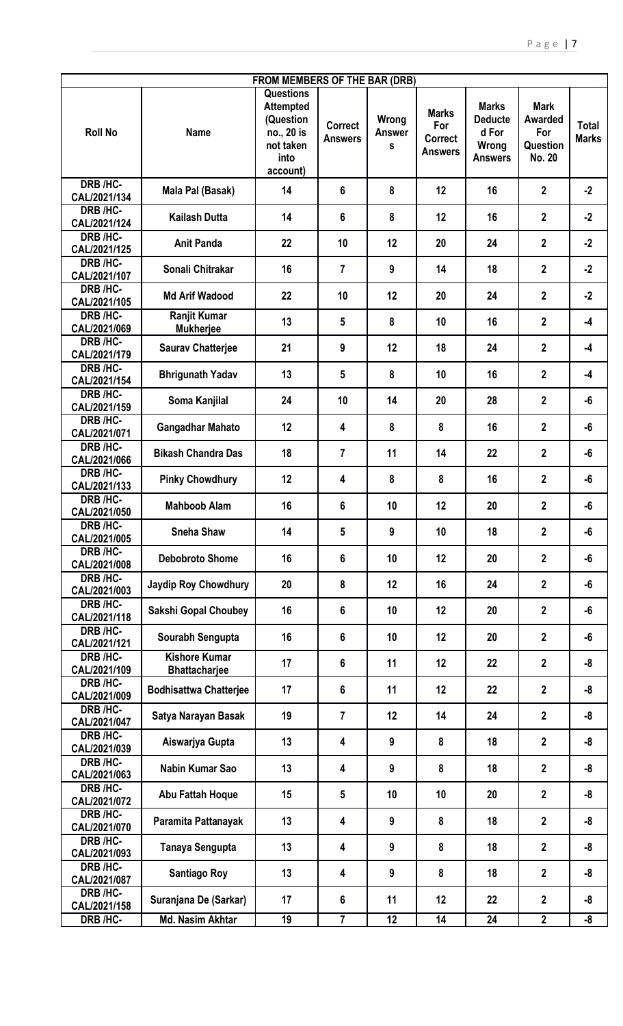|                                |                                              | FROM MEMBERS OF THE BAR (DRB)                                                                    |                                  |                             |                                                  |                                                                    |                                                                   |                              |
|--------------------------------|----------------------------------------------|--------------------------------------------------------------------------------------------------|----------------------------------|-----------------------------|--------------------------------------------------|--------------------------------------------------------------------|-------------------------------------------------------------------|------------------------------|
| <b>Roll No</b>                 | <b>Name</b>                                  | <b>Questions</b><br><b>Attempted</b><br>(Question<br>no., 20 is<br>not taken<br>into<br>account) | <b>Correct</b><br><b>Answers</b> | Wrong<br><b>Answer</b><br>S | <b>Marks</b><br>For<br><b>Correct</b><br>Answers | <b>Marks</b><br><b>Deducte</b><br>d For<br>Wrong<br><b>Answers</b> | <b>Mark</b><br><b>Awarded</b><br>For<br>Question<br><b>No. 20</b> | <b>Total</b><br><b>Marks</b> |
| <b>DRB/HC-</b><br>CAL/2021/134 | Mala Pal (Basak)                             | 14                                                                                               | 6                                | 8                           | 12                                               | 16                                                                 | $\mathbf{2}$                                                      | $-2$                         |
| DRB /HC-<br>CAL/2021/124       | <b>Kailash Dutta</b>                         | 14                                                                                               | 6                                | 8                           | 12                                               | 16                                                                 | $\overline{2}$                                                    | $-2$                         |
| DRB /HC-<br>CAL/2021/125       | <b>Anit Panda</b>                            | 22                                                                                               | 10                               | 12                          | 20                                               | 24                                                                 | $\mathbf{2}$                                                      | $-2$                         |
| DRB /HC-<br>CAL/2021/107       | Sonali Chitrakar                             | 16                                                                                               | $\overline{7}$                   | 9                           | 14                                               | 18                                                                 | $\overline{2}$                                                    | $-2$                         |
| DRB /HC-<br>CAL/2021/105       | <b>Md Arif Wadood</b>                        | 22                                                                                               | 10                               | 12                          | 20                                               | 24                                                                 | $\mathbf{2}$                                                      | $-2$                         |
| DRB /HC-<br>CAL/2021/069       | <b>Ranjit Kumar</b><br><b>Mukherjee</b>      | 13                                                                                               | 5                                | 8                           | 10                                               | 16                                                                 | $\mathbf{2}$                                                      | $-4$                         |
| DRB /HC-<br>CAL/2021/179       | <b>Saurav Chatterjee</b>                     | 21                                                                                               | 9                                | 12                          | 18                                               | 24                                                                 | $\overline{2}$                                                    | $-4$                         |
| DRB /HC-<br>CAL/2021/154       | <b>Bhrigunath Yadav</b>                      | 13                                                                                               | $5\phantom{.0}$                  | 8                           | 10                                               | 16                                                                 | $\overline{2}$                                                    | -4                           |
| DRB /HC-<br>CAL/2021/159       | Soma Kanjilal                                | 24                                                                                               | 10                               | 14                          | 20                                               | 28                                                                 | $\mathbf{2}$                                                      | -6                           |
| DRB /HC-<br>CAL/2021/071       | <b>Gangadhar Mahato</b>                      | 12                                                                                               | 4                                | 8                           | 8                                                | 16                                                                 | $\mathbf{2}$                                                      | -6                           |
| DRB /HC-<br>CAL/2021/066       | <b>Bikash Chandra Das</b>                    | 18                                                                                               | $\overline{7}$                   | 11                          | 14                                               | 22                                                                 | $\mathbf{2}$                                                      | -6                           |
| DRB /HC-<br>CAL/2021/133       | <b>Pinky Chowdhury</b>                       | 12                                                                                               | 4                                | 8                           | 8                                                | 16                                                                 | $\mathbf{2}$                                                      | -6                           |
| DRB /HC-<br>CAL/2021/050       | <b>Mahboob Alam</b>                          | 16                                                                                               | 6                                | 10                          | 12                                               | 20                                                                 | $\mathbf{2}$                                                      | -6                           |
| DRB /HC-<br>CAL/2021/005       | <b>Sneha Shaw</b>                            | 14                                                                                               | 5                                | 9                           | 10                                               | 18                                                                 | $\mathbf 2$                                                       | -6                           |
| DRB /HC-<br>CAL/2021/008       | <b>Debobroto Shome</b>                       | 16                                                                                               | 6                                | 10                          | 12                                               | 20                                                                 | $\mathbf{2}$                                                      | -6                           |
| DRB /HC-<br>CAL/2021/003       | <b>Jaydip Roy Chowdhury</b>                  | 20                                                                                               | 8                                | 12                          | 16                                               | 24                                                                 | $\overline{2}$                                                    | -6                           |
| DRB /HC-<br>CAL/2021/118       | <b>Sakshi Gopal Choubey</b>                  | 16                                                                                               | 6                                | 10                          | 12                                               | 20                                                                 | $\overline{2}$                                                    | -6                           |
| DRB /HC-<br>CAL/2021/121       | Sourabh Sengupta                             | 16                                                                                               | 6                                | 10                          | 12                                               | 20                                                                 | $\overline{2}$                                                    | -6                           |
| DRB /HC-<br>CAL/2021/109       | <b>Kishore Kumar</b><br><b>Bhattacharjee</b> | 17                                                                                               | 6                                | 11                          | 12                                               | 22                                                                 | $\mathbf{2}$                                                      | -8                           |
| DRB /HC-<br>CAL/2021/009       | <b>Bodhisattwa Chatterjee</b>                | 17                                                                                               | 6                                | 11                          | 12                                               | 22                                                                 | $\mathbf{2}$                                                      | -8                           |
| DRB /HC-<br>CAL/2021/047       | Satya Narayan Basak                          | 19                                                                                               | $\overline{7}$                   | 12                          | 14                                               | 24                                                                 | $\mathbf{2}$                                                      | -8                           |
| DRB /HC-<br>CAL/2021/039       | Aiswarjya Gupta                              | 13                                                                                               | 4                                | 9                           | 8                                                | 18                                                                 | $\overline{2}$                                                    | -8                           |
| DRB /HC-<br>CAL/2021/063       | Nabin Kumar Sao                              | 13                                                                                               | 4                                | 9                           | 8                                                | 18                                                                 | $\overline{2}$                                                    | -8                           |
| DRB /HC-<br>CAL/2021/072       | Abu Fattah Hoque                             | 15                                                                                               | $5\phantom{.0}$                  | 10                          | 10                                               | 20                                                                 | $\overline{2}$                                                    | -8                           |
| DRB /HC-<br>CAL/2021/070       | Paramita Pattanayak                          | 13                                                                                               | 4                                | 9                           | 8                                                | 18                                                                 | $\overline{2}$                                                    | -8                           |
| DRB /HC-<br>CAL/2021/093       | Tanaya Sengupta                              | 13                                                                                               | 4                                | 9                           | 8                                                | 18                                                                 | $\mathbf{2}$                                                      | -8                           |
| DRB /HC-<br>CAL/2021/087       | <b>Santiago Roy</b>                          | 13                                                                                               | 4                                | 9                           | 8                                                | 18                                                                 | $\mathbf{2}$                                                      | -8                           |
| DRB /HC-<br>CAL/2021/158       | Suranjana De (Sarkar)                        | 17                                                                                               | 6                                | 11                          | 12                                               | 22                                                                 | $\overline{2}$                                                    | -8                           |
| DRB /HC-                       | <b>Md. Nasim Akhtar</b>                      | 19                                                                                               | 7                                | 12                          | 14                                               | 24                                                                 | $\mathbf{2}$                                                      | -8                           |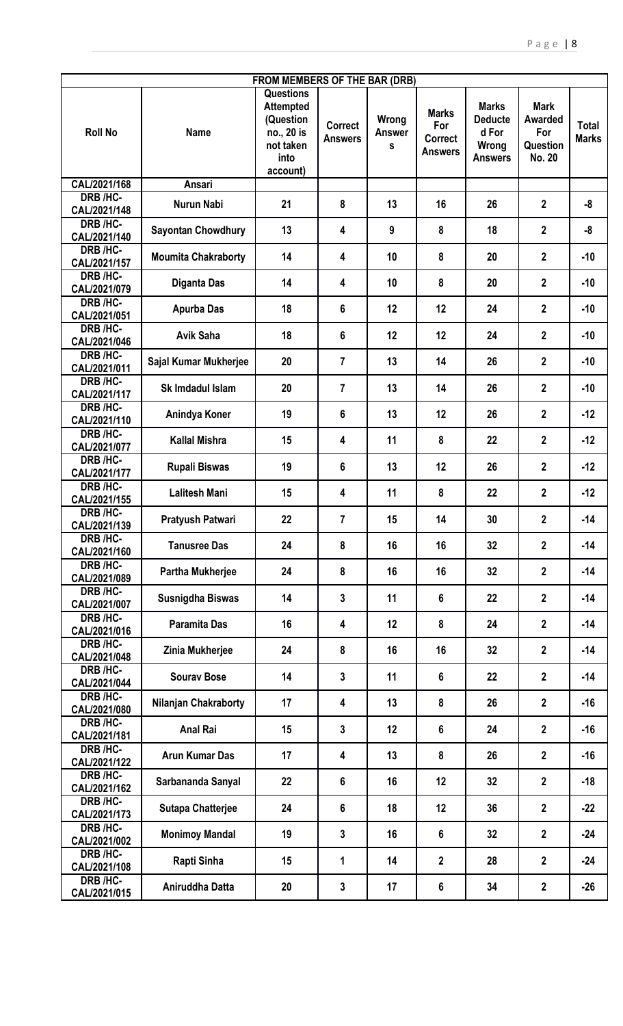| FROM MEMBERS OF THE BAR (DRB)   |                            |                                                                                                  |                                  |                             |                                                         |                                                                    |                                                            |                              |  |
|---------------------------------|----------------------------|--------------------------------------------------------------------------------------------------|----------------------------------|-----------------------------|---------------------------------------------------------|--------------------------------------------------------------------|------------------------------------------------------------|------------------------------|--|
| <b>Roll No</b>                  | <b>Name</b>                | <b>Questions</b><br><b>Attempted</b><br>(Question<br>no., 20 is<br>not taken<br>into<br>account) | <b>Correct</b><br><b>Answers</b> | Wrong<br><b>Answer</b><br>S | <b>Marks</b><br>For<br><b>Correct</b><br><b>Answers</b> | <b>Marks</b><br><b>Deducte</b><br>d For<br>Wrong<br><b>Answers</b> | <b>Mark</b><br>Awarded<br>For<br>Question<br><b>No. 20</b> | <b>Total</b><br><b>Marks</b> |  |
| CAL/2021/168                    | Ansari                     |                                                                                                  |                                  |                             |                                                         |                                                                    |                                                            |                              |  |
| DRB /HC-<br>CAL/2021/148        | Nurun Nabi                 | 21                                                                                               | 8                                | 13                          | 16                                                      | 26                                                                 | $\overline{2}$                                             | -8                           |  |
| DRB /HC-<br>CAL/2021/140        | <b>Sayontan Chowdhury</b>  | 13                                                                                               | 4                                | 9                           | 8                                                       | 18                                                                 | $\mathbf{2}$                                               | -8                           |  |
| DRB /HC-<br>CAL/2021/157        | <b>Moumita Chakraborty</b> | 14                                                                                               | 4                                | 10                          | 8                                                       | 20                                                                 | $\mathbf{2}$                                               | $-10$                        |  |
| DRB /HC-<br>CAL/2021/079        | <b>Diganta Das</b>         | 14                                                                                               | 4                                | 10                          | 8                                                       | 20                                                                 | $\overline{2}$                                             | $-10$                        |  |
| DRB /HC-<br>CAL/2021/051        | <b>Apurba Das</b>          | 18                                                                                               | 6                                | 12                          | 12                                                      | 24                                                                 | $\mathbf{2}$                                               | $-10$                        |  |
| <b>DRB /HC-</b><br>CAL/2021/046 | <b>Avik Saha</b>           | 18                                                                                               | 6                                | 12                          | 12                                                      | 24                                                                 | $\overline{2}$                                             | $-10$                        |  |
| DRB /HC-<br>CAL/2021/011        | Sajal Kumar Mukherjee      | 20                                                                                               | $\overline{7}$                   | 13                          | 14                                                      | 26                                                                 | $\overline{2}$                                             | $-10$                        |  |
| DRB /HC-<br>CAL/2021/117        | Sk Imdadul Islam           | 20                                                                                               | $\overline{7}$                   | 13                          | 14                                                      | 26                                                                 | $\mathbf{2}$                                               | $-10$                        |  |
| DRB /HC-<br>CAL/2021/110        | Anindya Koner              | 19                                                                                               | 6                                | 13                          | 12                                                      | 26                                                                 | $\overline{2}$                                             | $-12$                        |  |
| DRB /HC-<br>CAL/2021/077        | <b>Kallal Mishra</b>       | 15                                                                                               | 4                                | 11                          | 8                                                       | 22                                                                 | $\mathbf{2}$                                               | $-12$                        |  |
| DRB /HC-<br>CAL/2021/177        | <b>Rupali Biswas</b>       | 19                                                                                               | 6                                | 13                          | 12                                                      | 26                                                                 | $\mathbf{2}$                                               | $-12$                        |  |
| DRB /HC-<br>CAL/2021/155        | <b>Lalitesh Mani</b>       | 15                                                                                               | 4                                | 11                          | 8                                                       | 22                                                                 | $\mathbf{2}$                                               | $-12$                        |  |
| DRB /HC-<br>CAL/2021/139        | Pratyush Patwari           | 22                                                                                               | $\overline{7}$                   | 15                          | 14                                                      | 30                                                                 | $\mathbf{2}$                                               | $-14$                        |  |
| DRB /HC-<br>CAL/2021/160        | <b>Tanusree Das</b>        | 24                                                                                               | 8                                | 16                          | 16                                                      | 32                                                                 | $\overline{2}$                                             | $-14$                        |  |
| DRB /HC-<br>CAL/2021/089        | <b>Partha Mukherjee</b>    | 24                                                                                               | 8                                | 16                          | 16                                                      | 32                                                                 | $\mathbf{2}$                                               | $-14$                        |  |
| DRB /HC-<br>CAL/2021/007        | Susnigdha Biswas           | 14                                                                                               | $\mathbf{3}$                     | 11                          | 6                                                       | 22                                                                 | $\overline{2}$                                             | $-14$                        |  |
| DRB /HC-<br>CAL/2021/016        | <b>Paramita Das</b>        | 16                                                                                               | 4                                | 12                          | 8                                                       | 24                                                                 | $\overline{2}$                                             | $-14$                        |  |
| DRB /HC-<br>CAL/2021/048        | Zinia Mukherjee            | 24                                                                                               | 8                                | 16                          | 16                                                      | 32                                                                 | $\mathbf{2}$                                               | $-14$                        |  |
| DRB /HC-<br>CAL/2021/044        | <b>Sourav Bose</b>         | 14                                                                                               | $\mathbf{3}$                     | 11                          | 6                                                       | 22                                                                 | $\overline{2}$                                             | $-14$                        |  |
| DRB /HC-<br>CAL/2021/080        | Nilanjan Chakraborty       | 17                                                                                               | 4                                | 13                          | 8                                                       | 26                                                                 | $\overline{2}$                                             | $-16$                        |  |
| DRB /HC-<br>CAL/2021/181        | <b>Anal Rai</b>            | 15                                                                                               | 3                                | 12                          | 6                                                       | 24                                                                 | $\mathbf{2}$                                               | $-16$                        |  |
| DRB /HC-<br>CAL/2021/122        | <b>Arun Kumar Das</b>      | 17                                                                                               | 4                                | 13                          | 8                                                       | 26                                                                 | $\overline{2}$                                             | $-16$                        |  |
| DRB /HC-<br>CAL/2021/162        | Sarbananda Sanyal          | 22                                                                                               | 6                                | 16                          | 12                                                      | 32                                                                 | $\mathbf{2}$                                               | $-18$                        |  |
| DRB /HC-<br>CAL/2021/173        | <b>Sutapa Chatterjee</b>   | 24                                                                                               | 6                                | 18                          | 12                                                      | 36                                                                 | $\mathbf{2}$                                               | $-22$                        |  |
| DRB /HC-<br>CAL/2021/002        | <b>Monimoy Mandal</b>      | 19                                                                                               | 3                                | 16                          | 6                                                       | 32                                                                 | $\mathbf{2}$                                               | $-24$                        |  |
| DRB /HC-<br>CAL/2021/108        | Rapti Sinha                | 15                                                                                               | 1                                | 14                          | $\overline{2}$                                          | 28                                                                 | $\overline{2}$                                             | $-24$                        |  |
| DRB /HC-<br>CAL/2021/015        | Aniruddha Datta            | 20                                                                                               | 3                                | 17                          | 6                                                       | 34                                                                 | $\mathbf{2}$                                               | $-26$                        |  |